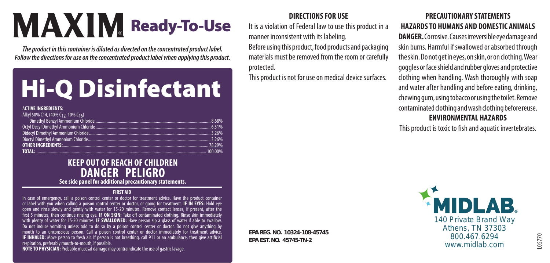### **MAXIM** Ready-To-Use

*The product in this container is diluted as directed on the concentrated product label. Follow the directions for use on the concentrated product label when applying this product.*

### Hi-Q Disinfectant

#### A**CTIVE INGREDIENTS:**

| Alkyl 50% C14, (40% C12, 10% C16)                                                                                      |  |
|------------------------------------------------------------------------------------------------------------------------|--|
|                                                                                                                        |  |
|                                                                                                                        |  |
|                                                                                                                        |  |
|                                                                                                                        |  |
| <b>OTHER INGREDIENTS:</b> 29% 2008 2014 2015 2016 2016 2017 2018 2019 2016 2017 2018 2019 2016 2017 2018 2019 2019 201 |  |
| <b>TOTAL:</b> 100.00% 100.00% 100.00% 100.00% 100.00% 100.00% 100.00% 100.00% 100.00% 100.00% 100.00% 100.00% 100.00%  |  |

#### **KEEP OUT OF REACH OF CHILDREN DANGER PELIGRO See side panel for additional precautionary statements.**

#### **FIRST AID**

In case of emergency, call a poison control center or doctor for treatment advice. Have the product container or label with you when calling a poison control center or doctor, or going for treatment. **IF IN EYES:** Hold eye open and rinse slowly and gently with water for 15-20 minutes. Remove contact lenses, if present, after the first 5 minutes, then continue rinsing eye. **IF ON SKIN:** Take off contaminated clothing. Rinse skin immediately with plenty of water for 15-20 minutes. **IF SWALLOWED:** Have person sip a glass of water if able to swallow. Do not induce vomiting unless told to do so by a poison control center or doctor. Do not give anything by mouth to an unconscious person. Call a poison control center or doctor immediately for treatment advice. **IF INHALED:** Move person to fresh air. If person is not breathing, call 911 or an ambulance, then give artificial respiration, preferably mouth-to-mouth, if possible.

**NOTE TO PHYSICIAN:** Probable mucosal damage may contraindicate the use of gastric lavage.

#### **DIRECTIONS FOR USE**

It is a violation of Federal law to use this product in a manner inconsistent with its labeling.

Before using this product, food products and packaging materials must be removed from the room or carefully protected.

This product is not for use on medical device surfaces.

#### **PRECAUTIONARY STATEMENTS HAZARDS TO HUMANS AND DOMESTIC ANIMALS**

**DANGER.** Corrosive. Causes irreversible eye damage and skin burns. Harmful if swallowed or absorbed through the skin. Do not get in eyes, on skin, or on clothing. Wear goggles or face shield and rubber gloves and protective clothing when handling. Wash thoroughly with soap and water after handling and before eating, drinking, chewing gum, using tobacco or using the toilet. Remove contaminated clothing and wash clothing before reuse. **ENVIRONMENTAL HAZARDS**

This product is toxic to fish and aquatic invertebrates.

**EPA REG. NO. 10324-108-45745 EPA EST. NO. 45745-TN-2**

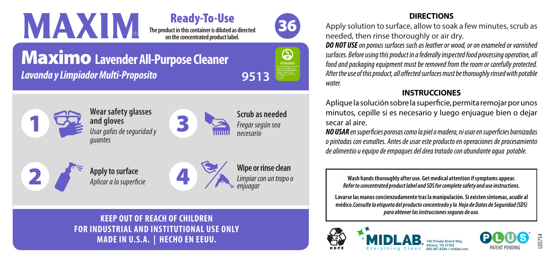#### **The product in this container is diluted as directed**  Ready-To-Use

**on the concentrated product label.** 



G ECOLOGO

*Limpiar con un trapo o enjuagar*

### Maximo **Lavender All-Purpose Cleaner** *Lavanda y Limpiador Multi-Proposito* **9513**

*Aplicar a la superficie*



**KEEP OUT OF REACH OF CHILDREN FOR INDUSTRIAL AND INSTITUTIONAL USE ONLY MADE IN U.S.A. | HECHO EN EEUU.**

#### **DIRECTIONS**

Apply solution to surface, allow to soak a few minutes, scrub as needed, then rinse thoroughly or air dry.

*DO NOT USE on porous surfaces such as leather or wood, or on enameled or varnished surfaces. Before using this product in a federally inspected food processing operation, all food and packaging equipment must be removed from the room or carefully protected. After the use of this product, all affected surfaces must be thoroughly rinsed with potable water.*

#### **INSTRUCCIONES**

Aplique la solución sobre la superficie, permita remojar por unos minutos, cepille si es necesario y luego enjuague bien o dejar secar al aire.

*NO USAR en superficies porosas como la piel o madera, ni usar en superficies barnizadas o pintadas con esmaltes. Antes de usar este producto en operaciones de procesamiento de alimentio u equipo de empaques del área tratado con abundante agua potable.*

**Wash hands thoroughly after use. Get medical attention if symptoms appear.**  *Refer to concentrated product label and SDS for complete safety and use instructions.*

**Lavarse las manos concienzudamente tras la manipulación. Si existen síntomas, acudir al médico.***Consulte la etiqueta del producto concentrado y la Hoja de Datos de Seguridad (SDS) para obtener las instrucciones seguras de uso.*





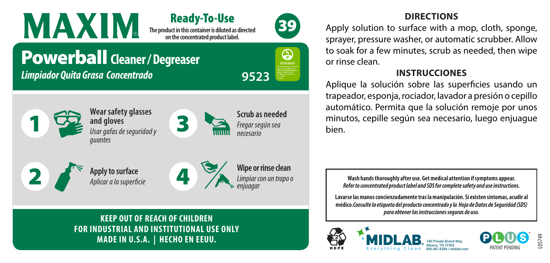**The product in this container is diluted as directed on the concentrated product label.**  Ready-To-Use



ECOLOGO

*Limpiar con un trapo o* 

*enjuagar*

#### **DIRECTIONS**

Apply solution to surface with a mop, cloth, sponge, sprayer, pressure washer, or automatic scrubber. Allow to soak for a few minutes, scrub as needed, then wipe or rinse clean.

#### **INSTRUCCIONES**

Aplique la solución sobre las superficies usando un trapeador, esponja, rociador, lavador a presión o cepillo automático. Permita que la solución remoje por unos minutos, cepille según sea necesario, luego enjuague bien.

**Wash hands thoroughly after use. Get medical attention if symptoms appear.**  *Refer to concentrated product label and SDS for complete safety and use instructions.*

**Lavarse las manos concienzudamente tras la manipulación. Si existen síntomas, acudir al médico.***Consulte la etiqueta del producto concentrado y la Hoja de Datos de Seguridad (SDS) para obtener las instrucciones seguras de uso.*





**2** *Apply to surface*<br>*Aplicar a la superficie* 1 **Wipe or rinse clean Scrub as needed** *Fregar según sea necesario* **Wear safety glasses and gloves** *Usar gafas de seguridad y guantes*  3

*Limpiador Quita Grasa Concentrado* **9523**

**KEEP OUT OF REACH OF CHILDREN FOR INDUSTRIAL AND INSTITUTIONAL USE ONLY MADE IN U.S.A. | HECHO EN EEUU.**

*Aplicar a la superficie*

Powerball **Cleaner / Degreaser**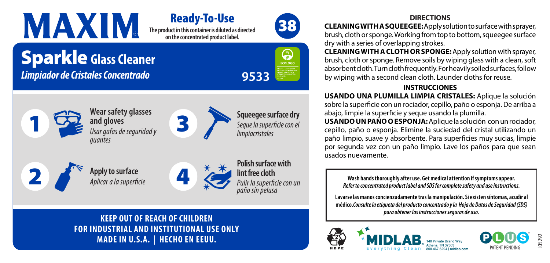#### **The product in this container is diluted as directed on the concentrated product label.**  Ready-To-Use

3

### Sparkle **Glass Cleaner** *Limpiador de Cristales Concentrado*







**Squeegee surface dry** *Seque la superficie con el limpiacristales*



1





**KEEP OUT OF REACH OF CHILDREN FOR INDUSTRIAL AND INSTITUTIONAL USE ONLY MADE IN U.S.A. | HECHO EN EEUU.**

#### **DIRECTIONS**

**CLEANING WITH A SQUEEGEE:**Apply solution to surface with sprayer, brush, cloth or sponge. Working from top to bottom, squeegee surface dry with a series of overlapping strokes.

**CLEANING WITH A CLOTH OR SPONGE:**Apply solution with sprayer, brush, cloth or sponge. Remove soils by wiping glass with a clean, soft absorbent cloth. Turn cloth frequently. For heavily soiled surfaces, follow by wiping with a second clean cloth. Launder cloths for reuse.

#### **INSTRUCCIONES**

**USANDO UNA PLUMILLA LIMPIA CRISTALES:** Aplique la solución sobre la superficie con un rociador, cepillo, paño o esponja. De arriba a abajo, limpie la superficie y seque usando la plumilla.

**USANDO UN PAÑO O ESPONJA:**Aplique la solución con un rociador, cepillo, paño o esponja. Elimine la suciedad del cristal utilizando un paño limpio, suave y absorbente. Para superficies muy sucias, limpie por segunda vez con un paño limpio. Lave los paños para que sean usados nuevamente.

**Wash hands thoroughly after use. Get medical attention if symptoms appear.**  *Refer to concentrated product label and SDS for complete safety and use instructions.*

**Lavarse las manos concienzudamente tras la manipulación. Si existen síntomas, acudir al médico.***Consulte la etiqueta del producto concentrado y la Hoja de Datos de Seguridad (SDS) para obtener las instrucciones seguras de uso.*